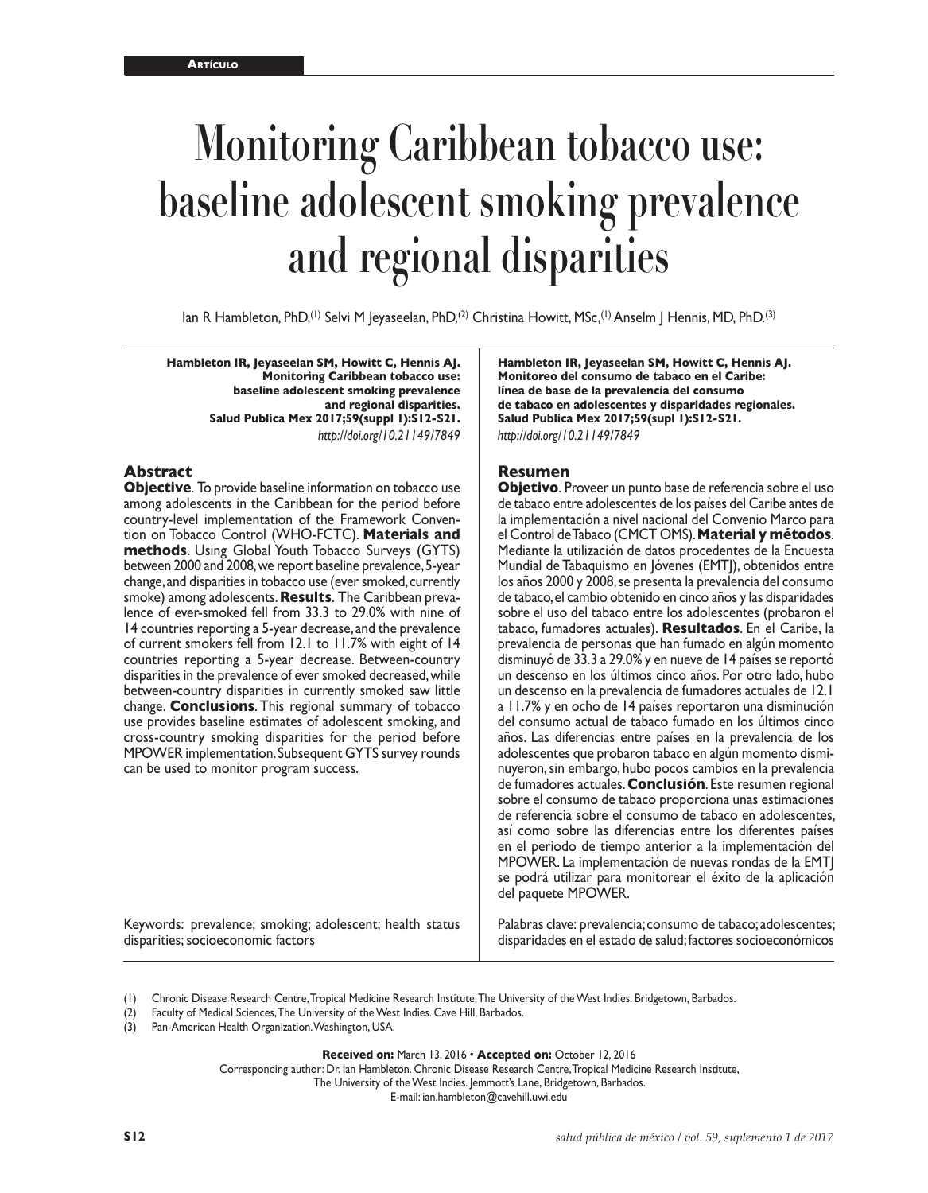# **Monitoring Caribbean tobacco use: baseline adolescent smoking prevalence and regional disparities**

Ian R Hambleton, PhD,<sup>(1)</sup> Selvi M Jeyaseelan, PhD,<sup>(2)</sup> Christina Howitt, MSc,<sup>(1)</sup> Anselm J Hennis, MD, PhD.<sup>(3)</sup>

**Hambleton IR, Jeyaseelan SM, Howitt C, Hennis AJ. Monitoring Caribbean tobacco use: baseline adolescent smoking prevalence and regional disparities. Salud Publica Mex 2017;59(suppl 1):S12-S21.** *<http://doi.org/10.21149/7849>*

#### **Abstract**

**Objective**. To provide baseline information on tobacco use among adolescents in the Caribbean for the period before country-level implementation of the Framework Convention on Tobacco Control (WHO-FCTC). **Materials and methods**. Using Global Youth Tobacco Surveys (GYTS) between 2000 and 2008, we report baseline prevalence, 5-year change, and disparities in tobacco use (ever smoked, currently smoke) among adolescents. **Results**. The Caribbean prevalence of ever-smoked fell from 33.3 to 29.0% with nine of 14 countries reporting a 5-year decrease, and the prevalence of current smokers fell from 12.1 to 11.7% with eight of 14 countries reporting a 5-year decrease. Between-country disparities in the prevalence of ever smoked decreased, while between-country disparities in currently smoked saw little change. **Conclusions**. This regional summary of tobacco use provides baseline estimates of adolescent smoking, and cross-country smoking disparities for the period before MPOWER implementation. Subsequent GYTS survey rounds can be used to monitor program success.

Keywords: prevalence; smoking; adolescent; health status disparities; socioeconomic factors

**Hambleton IR, Jeyaseelan SM, Howitt C, Hennis AJ. Monitoreo del consumo de tabaco en el Caribe: línea de base de la prevalencia del consumo de tabaco en adolescentes y disparidades regionales. Salud Publica Mex 2017;59(supl 1):S12-S21.** *<http://doi.org/10.21149/7849>*

#### **Resumen**

**Objetivo**. Proveer un punto base de referencia sobre el uso de tabaco entre adolescentes de los países del Caribe antes de la implementación a nivel nacional del Convenio Marco para el Control de Tabaco (CMCT OMS). **Material y métodos**. Mediante la utilización de datos procedentes de la Encuesta Mundial de Tabaquismo en Jóvenes (EMTJ), obtenidos entre los años 2000 y 2008, se presenta la prevalencia del consumo de tabaco, el cambio obtenido en cinco años y las disparidades sobre el uso del tabaco entre los adolescentes (probaron el tabaco, fumadores actuales). **Resultados**. En el Caribe, la prevalencia de personas que han fumado en algún momento disminuyó de 33.3 a 29.0% y en nueve de 14 países se reportó un descenso en los últimos cinco años. Por otro lado, hubo un descenso en la prevalencia de fumadores actuales de 12.1 a 11.7% y en ocho de 14 países reportaron una disminución del consumo actual de tabaco fumado en los últimos cinco años. Las diferencias entre países en la prevalencia de los adolescentes que probaron tabaco en algún momento disminuyeron, sin embargo, hubo pocos cambios en la prevalencia de fumadores actuales. **Conclusión**. Este resumen regional sobre el consumo de tabaco proporciona unas estimaciones de referencia sobre el consumo de tabaco en adolescentes, así como sobre las diferencias entre los diferentes países en el periodo de tiempo anterior a la implementación del MPOWER. La implementación de nuevas rondas de la EMTJ se podrá utilizar para monitorear el éxito de la aplicación del paquete MPOWER.

Palabras clave: prevalencia; consumo de tabaco; adolescentes; disparidades en el estado de salud; factores socioeconómicos

- (1) Chronic Disease Research Centre, Tropical Medicine Research Institute, The University of the West Indies. Bridgetown, Barbados.
- (2) Faculty of Medical Sciences, The University of the West Indies. Cave Hill, Barbados.
- (3) Pan-American Health Organization. Washington, USA.

**Received on:** March 13, 2016 • **Accepted on:** October 12, 2016

Corresponding author: Dr. Ian Hambleton. Chronic Disease Research Centre, Tropical Medicine Research Institute,

The University of the West Indies. Jemmott's Lane, Bridgetown, Barbados.

E-mail: [ian.hambleton@cavehill.uwi.edu](mailto:ian.hambleton@cavehill.uwi.edu)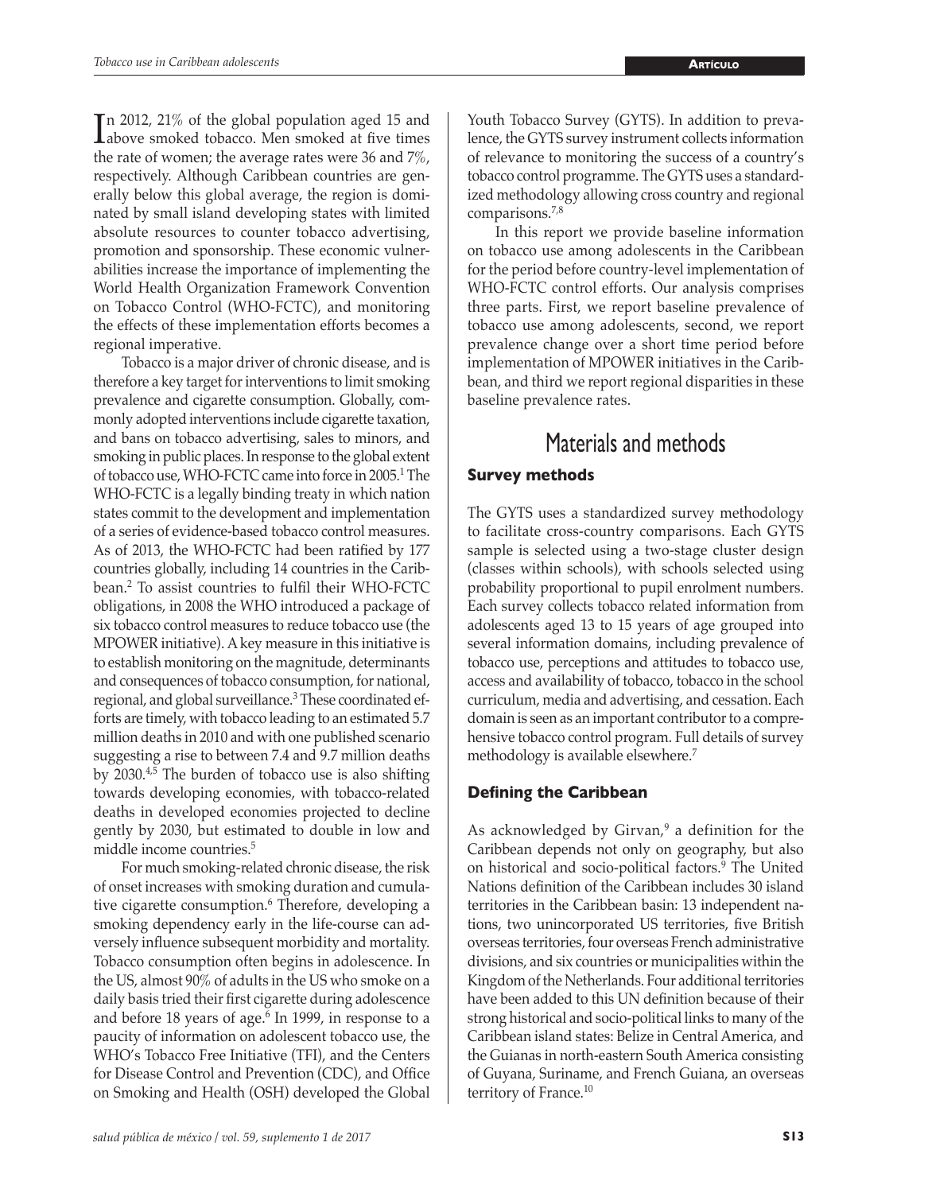In 2012, 21% of the global population aged 15 and<br>above smoked tobacco. Men smoked at five times above smoked tobacco. Men smoked at five times the rate of women; the average rates were 36 and 7%, respectively. Although Caribbean countries are generally below this global average, the region is dominated by small island developing states with limited absolute resources to counter tobacco advertising, promotion and sponsorship. These economic vulnerabilities increase the importance of implementing the World Health Organization Framework Convention on Tobacco Control (WHO-FCTC), and monitoring the effects of these implementation efforts becomes a regional imperative.

Tobacco is a major driver of chronic disease, and is therefore a key target for interventions to limit smoking prevalence and cigarette consumption. Globally, commonly adopted interventions include cigarette taxation, and bans on tobacco advertising, sales to minors, and smoking in public places. In response to the global extent of tobacco use, WHO-FCTC came into force in 2005.<sup>1</sup> The WHO-FCTC is a legally binding treaty in which nation states commit to the development and implementation of a series of evidence-based tobacco control measures. As of 2013, the WHO-FCTC had been ratified by 177 countries globally, including 14 countries in the Caribbean.<sup>2</sup> To assist countries to fulfil their WHO-FCTC obligations, in 2008 the WHO introduced a package of six tobacco control measures to reduce tobacco use (the MPOWER initiative). A key measure in this initiative is to establish monitoring on the magnitude, determinants and consequences of tobacco consumption, for national, regional, and global surveillance.3 These coordinated efforts are timely, with tobacco leading to an estimated 5.7 million deaths in 2010 and with one published scenario suggesting a rise to between 7.4 and 9.7 million deaths by 2030.4,5 The burden of tobacco use is also shifting towards developing economies, with tobacco-related deaths in developed economies projected to decline gently by 2030, but estimated to double in low and middle income countries.5

For much smoking-related chronic disease, the risk of onset increases with smoking duration and cumulative cigarette consumption.<sup>6</sup> Therefore, developing a smoking dependency early in the life-course can adversely influence subsequent morbidity and mortality. Tobacco consumption often begins in adolescence. In the US, almost 90% of adults in the US who smoke on a daily basis tried their first cigarette during adolescence and before 18 years of age. $6 \text{ In } 1999$ , in response to a paucity of information on adolescent tobacco use, the WHO's Tobacco Free Initiative (TFI), and the Centers for Disease Control and Prevention (CDC), and Office on Smoking and Health (OSH) developed the Global

Youth Tobacco Survey (GYTS). In addition to prevalence, the GYTS survey instrument collects information of relevance to monitoring the success of a country's tobacco control programme. The GYTS uses a standardized methodology allowing cross country and regional comparisons.7,8

In this report we provide baseline information on tobacco use among adolescents in the Caribbean for the period before country-level implementation of WHO-FCTC control efforts. Our analysis comprises three parts. First, we report baseline prevalence of tobacco use among adolescents, second, we report prevalence change over a short time period before implementation of MPOWER initiatives in the Caribbean, and third we report regional disparities in these baseline prevalence rates.

# Materials and methods

#### **Survey methods**

The GYTS uses a standardized survey methodology to facilitate cross-country comparisons. Each GYTS sample is selected using a two-stage cluster design (classes within schools), with schools selected using probability proportional to pupil enrolment numbers. Each survey collects tobacco related information from adolescents aged 13 to 15 years of age grouped into several information domains, including prevalence of tobacco use, perceptions and attitudes to tobacco use, access and availability of tobacco, tobacco in the school curriculum, media and advertising, and cessation. Each domain is seen as an important contributor to a comprehensive tobacco control program. Full details of survey methodology is available elsewhere.<sup>7</sup>

#### **Defining the Caribbean**

As acknowledged by Girvan, $9$  a definition for the Caribbean depends not only on geography, but also on historical and socio-political factors.<sup>9</sup> The United Nations definition of the Caribbean includes 30 island territories in the Caribbean basin: 13 independent nations, two unincorporated US territories, five British overseas territories, four overseas French administrative divisions, and six countries or municipalities within the Kingdom of the Netherlands. Four additional territories have been added to this UN definition because of their strong historical and socio-political links to many of the Caribbean island states: Belize in Central America, and the Guianas in north-eastern South America consisting of Guyana, Suriname, and French Guiana, an overseas territory of France.<sup>10</sup>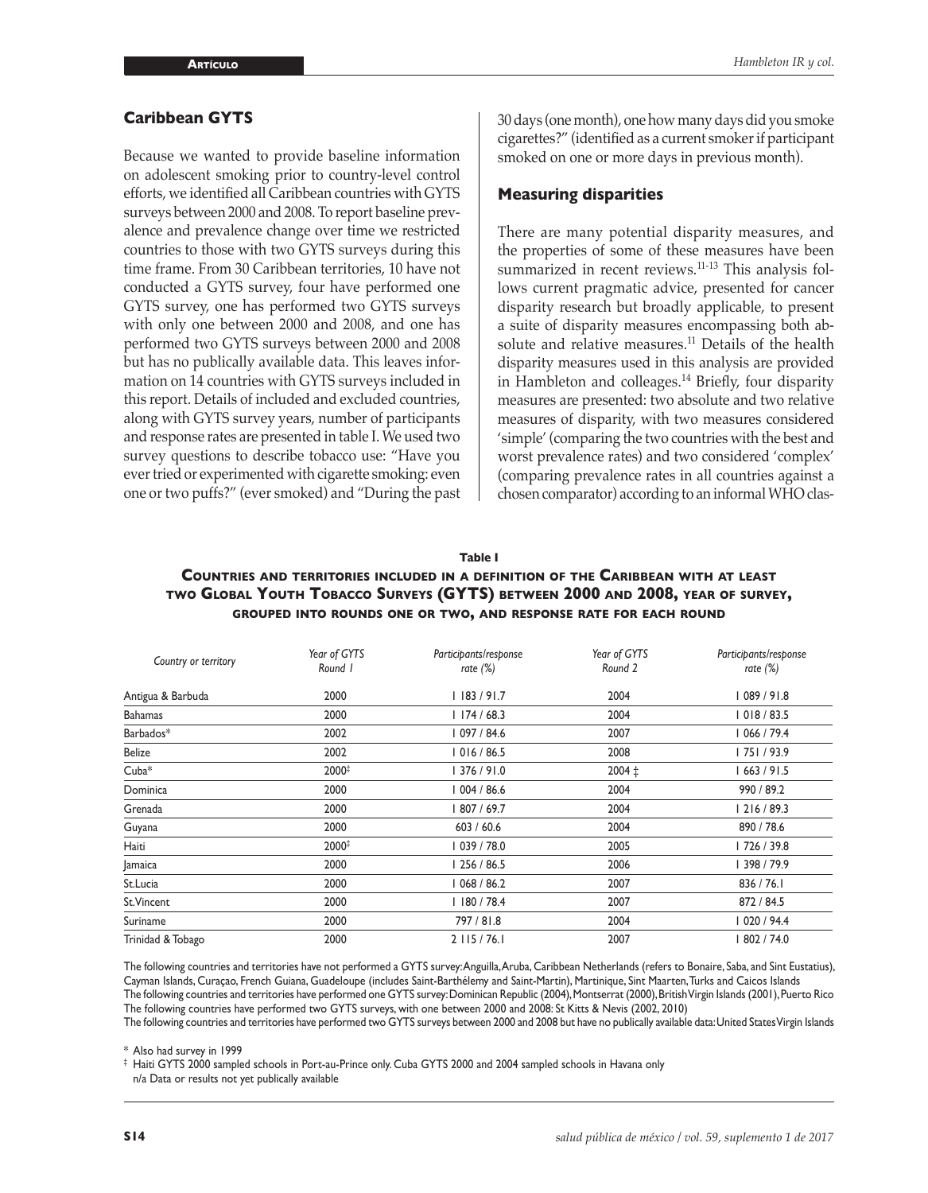#### **Caribbean GYTS**

Because we wanted to provide baseline information on adolescent smoking prior to country-level control efforts, we identified all Caribbean countries with GYTS surveys between 2000 and 2008. To report baseline prevalence and prevalence change over time we restricted countries to those with two GYTS surveys during this time frame. From 30 Caribbean territories, 10 have not conducted a GYTS survey, four have performed one GYTS survey, one has performed two GYTS surveys with only one between 2000 and 2008, and one has performed two GYTS surveys between 2000 and 2008 but has no publically available data. This leaves information on 14 countries with GYTS surveys included in this report. Details of included and excluded countries, along with GYTS survey years, number of participants and response rates are presented in table I. We used two survey questions to describe tobacco use: "Have you ever tried or experimented with cigarette smoking: even one or two puffs?" (ever smoked) and "During the past 30 days (one month), one how many days did you smoke cigarettes?" (identified as a current smoker if participant smoked on one or more days in previous month).

#### **Measuring disparities**

There are many potential disparity measures, and the properties of some of these measures have been summarized in recent reviews.<sup>11-13</sup> This analysis follows current pragmatic advice, presented for cancer disparity research but broadly applicable, to present a suite of disparity measures encompassing both absolute and relative measures.<sup>11</sup> Details of the health disparity measures used in this analysis are provided in Hambleton and colleages.<sup>14</sup> Briefly, four disparity measures are presented: two absolute and two relative measures of disparity, with two measures considered 'simple' (comparing the two countries with the best and worst prevalence rates) and two considered 'complex' (comparing prevalence rates in all countries against a chosen comparator) according to an informal WHO clas-

#### **Table I**

#### **Countries and territories included in <sup>a</sup> definition of the Caribbean with at least two Global Youth Tobacco Surveys (GYTS) between 2000 and 2008, year of survey, grouped into rounds one or two, and response rate for each round**

| Country or territory | Year of GYTS<br>Round 1 | Participants/response<br>rate $(\%)$ | Year of GYTS<br>Round 2 | Participants/response<br>rate $(\%)$ |  |
|----------------------|-------------------------|--------------------------------------|-------------------------|--------------------------------------|--|
| Antigua & Barbuda    | 2000                    | l 183 / 91.7                         | 2004                    | 089 / 91.8                           |  |
| <b>Bahamas</b>       | 2000                    | 1174/68.3                            | 2004                    | 018 / 83.5                           |  |
| Barbados*            | 2002                    | 097 / 84.6                           | 2007                    | 066 / 79.4                           |  |
| Belize               | 2002                    | 016/86.5                             | 2008                    | 75   / 93.9                          |  |
| $Cuba*$              | 2000#                   | 376/91.0                             | $2004 \pm$              | 663 / 91.5                           |  |
| Dominica             | 2000                    | 004 / 86.6                           | 2004                    | 990 / 89.2                           |  |
| Grenada              | 2000                    | 807 / 69.7                           | 2004                    | 216 / 89.3                           |  |
| Guyana               | 2000                    | 603 / 60.6                           | 2004                    | 890 / 78.6                           |  |
| Haiti                | 2000#                   | 039 / 78.0                           | 2005                    | 726 / 39.8                           |  |
| Jamaica              | 2000                    | 256 / 86.5                           | 2006                    | 398 / 79.9                           |  |
| St.Lucia             | 2000                    | 068 / 86.2                           | 2007                    | 836 / 76.1                           |  |
| St.Vincent           | 2000                    | 180 / 78.4                           | 2007                    | 872 / 84.5                           |  |
| Suriname             | 2000                    | 797 / 81.8                           | 2004                    | 020 / 94.4                           |  |
| Trinidad & Tobago    | 2000                    | $2$ 115 / 76.1                       | 2007                    | 802 / 74.0                           |  |

The following countries and territories have not performed a GYTS survey: Anguilla, Aruba, Caribbean Netherlands (refers to Bonaire, Saba, and Sint Eustatius), Cayman Islands, Curaçao, French Guiana, Guadeloupe (includes Saint-Barthélemy and Saint-Martin), Martinique, Sint Maarten, Turks and Caicos Islands The following countries and territories have performed one GYTS survey: Dominican Republic (2004), Montserrat (2000), British Virgin Islands (2001), Puerto Rico The following countries have performed two GYTS surveys, with one between 2000 and 2008: St Kitts & Nevis (2002, 2010)

The following countries and territories have performed two GYTS surveys between 2000 and 2008 but have no publically available data: United States Virgin Islands

\* Also had survey in 1999

‡ Haiti GYTS 2000 sampled schools in Port-au-Prince only. Cuba GYTS 2000 and 2004 sampled schools in Havana only n/a Data or results not yet publically available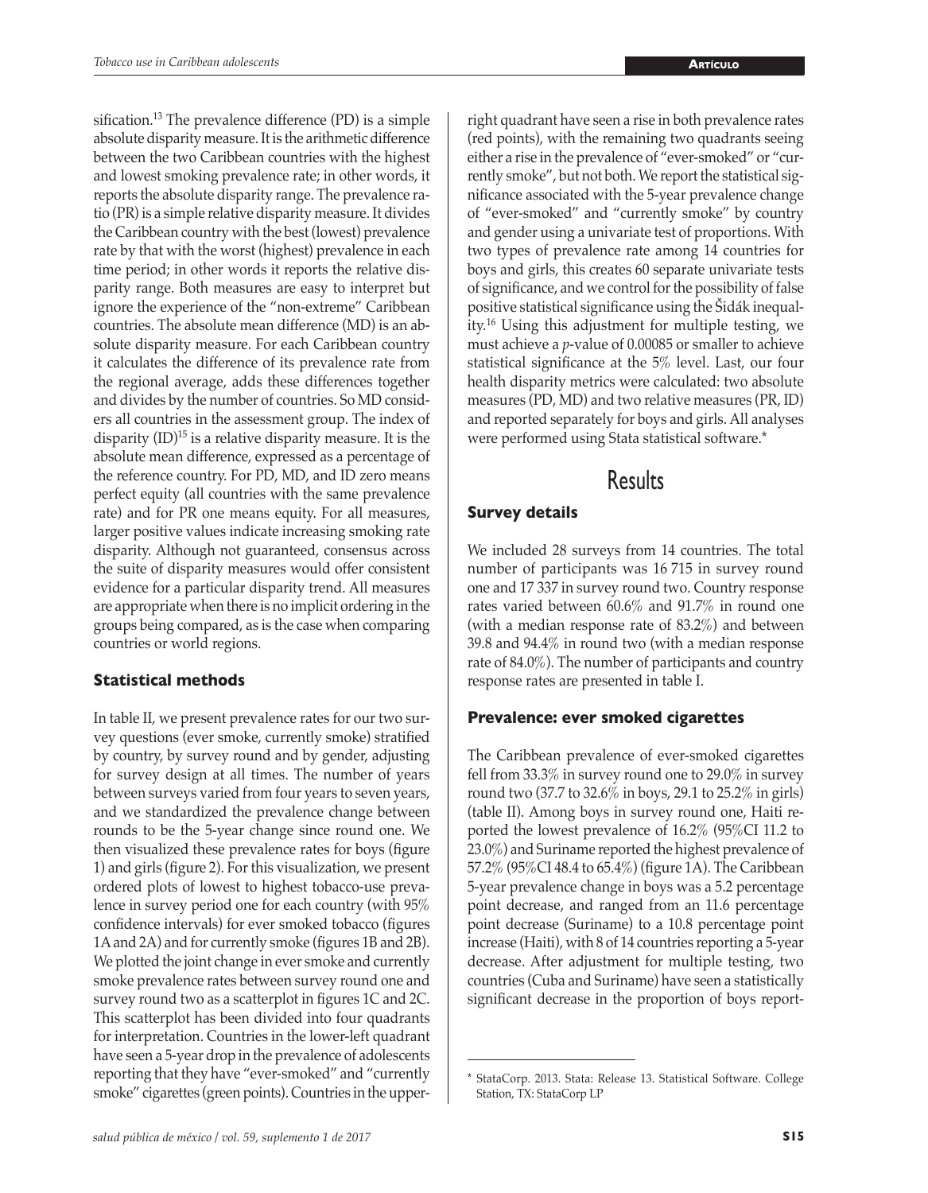sification.<sup>13</sup> The prevalence difference (PD) is a simple absolute disparity measure. It is the arithmetic difference between the two Caribbean countries with the highest and lowest smoking prevalence rate; in other words, it reports the absolute disparity range. The prevalence ratio (PR) is a simple relative disparity measure. It divides the Caribbean country with the best (lowest) prevalence rate by that with the worst (highest) prevalence in each time period; in other words it reports the relative disparity range. Both measures are easy to interpret but ignore the experience of the "non-extreme" Caribbean countries. The absolute mean difference (MD) is an absolute disparity measure. For each Caribbean country it calculates the difference of its prevalence rate from the regional average, adds these differences together and divides by the number of countries. So MD considers all countries in the assessment group. The index of disparity (ID)15 is a relative disparity measure. It is the absolute mean difference, expressed as a percentage of the reference country. For PD, MD, and ID zero means perfect equity (all countries with the same prevalence rate) and for PR one means equity. For all measures, larger positive values indicate increasing smoking rate disparity. Although not guaranteed, consensus across the suite of disparity measures would offer consistent evidence for a particular disparity trend. All measures are appropriate when there is no implicit ordering in the groups being compared, as is the case when comparing countries or world regions.

# **Statistical methods**

In table II, we present prevalence rates for our two survey questions (ever smoke, currently smoke) stratified by country, by survey round and by gender, adjusting for survey design at all times. The number of years between surveys varied from four years to seven years, and we standardized the prevalence change between rounds to be the 5-year change since round one. We then visualized these prevalence rates for boys (figure 1) and girls (figure 2). For this visualization, we present ordered plots of lowest to highest tobacco-use prevalence in survey period one for each country (with 95% confidence intervals) for ever smoked tobacco (figures 1A and 2A) and for currently smoke (figures 1B and 2B). We plotted the joint change in ever smoke and currently smoke prevalence rates between survey round one and survey round two as a scatterplot in figures 1C and 2C. This scatterplot has been divided into four quadrants for interpretation. Countries in the lower-left quadrant have seen a 5-year drop in the prevalence of adolescents reporting that they have "ever-smoked" and "currently smoke" cigarettes (green points). Countries in the upperright quadrant have seen a rise in both prevalence rates (red points), with the remaining two quadrants seeing either a rise in the prevalence of "ever-smoked" or "currently smoke", but not both. We report the statistical significance associated with the 5-year prevalence change of "ever-smoked" and "currently smoke" by country and gender using a univariate test of proportions. With two types of prevalence rate among 14 countries for boys and girls, this creates 60 separate univariate tests of significance, and we control for the possibility of false positive statistical significance using the Šidák inequality.16 Using this adjustment for multiple testing, we must achieve a *p*-value of 0.00085 or smaller to achieve statistical significance at the 5% level. Last, our four health disparity metrics were calculated: two absolute measures (PD, MD) and two relative measures (PR, ID) and reported separately for boys and girls. All analyses were performed using Stata statistical software.\*

# Results

## **Survey details**

We included 28 surveys from 14 countries. The total number of participants was 16 715 in survey round one and 17 337 in survey round two. Country response rates varied between 60.6% and 91.7% in round one (with a median response rate of 83.2%) and between 39.8 and 94.4% in round two (with a median response rate of 84.0%). The number of participants and country response rates are presented in table I.

## **Prevalence: ever smoked cigarettes**

The Caribbean prevalence of ever-smoked cigarettes fell from 33.3% in survey round one to 29.0% in survey round two (37.7 to 32.6% in boys, 29.1 to 25.2% in girls) (table II). Among boys in survey round one, Haiti reported the lowest prevalence of 16.2% (95%CI 11.2 to 23.0%) and Suriname reported the highest prevalence of 57.2% (95%CI 48.4 to 65.4%) (figure 1A). The Caribbean 5-year prevalence change in boys was a 5.2 percentage point decrease, and ranged from an 11.6 percentage point decrease (Suriname) to a 10.8 percentage point increase (Haiti), with 8 of 14 countries reporting a 5-year decrease. After adjustment for multiple testing, two countries (Cuba and Suriname) have seen a statistically significant decrease in the proportion of boys report-

<sup>\*</sup> StataCorp. 2013. Stata: Release 13. Statistical Software. College Station, TX: StataCorp LP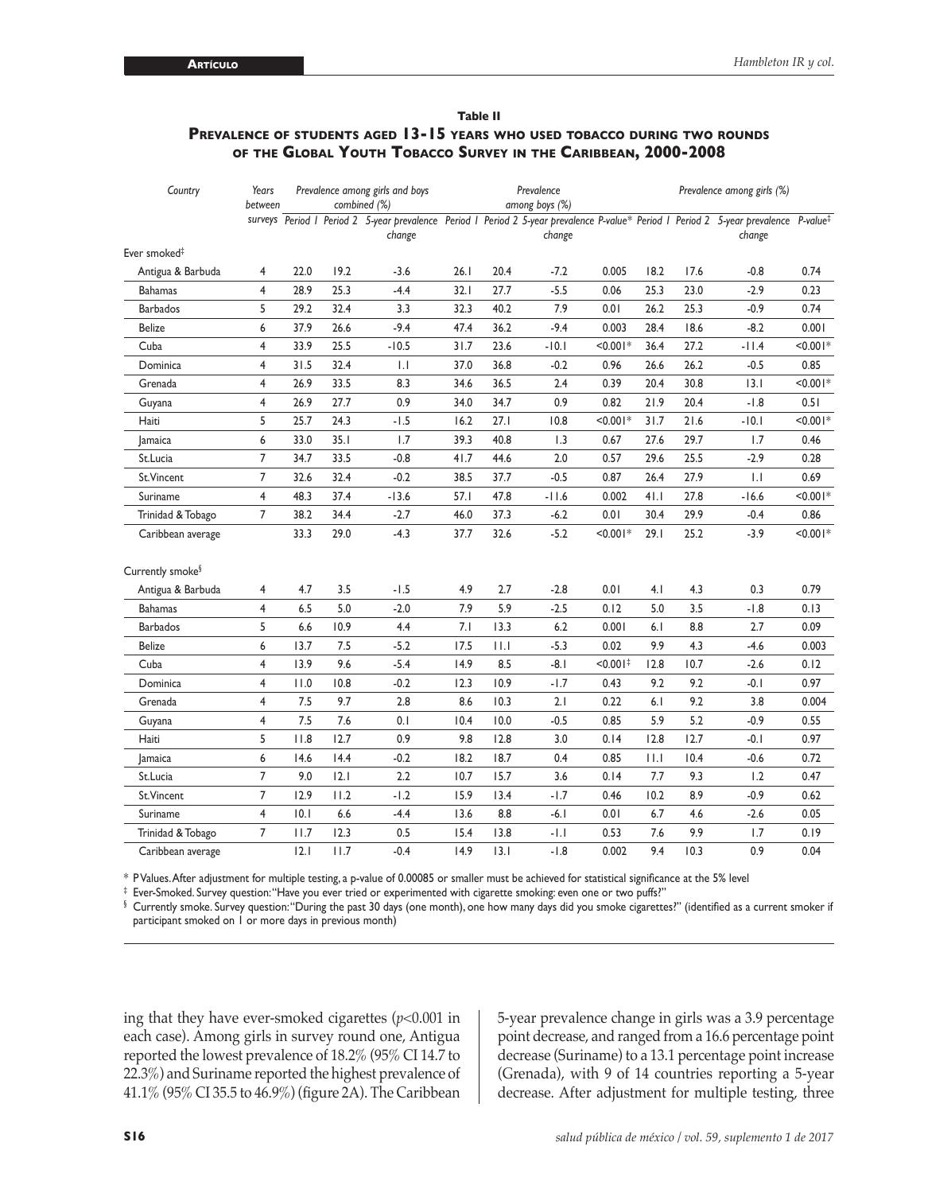#### **Table II Prevalence of students aged 13-15 years who used tobacco during two rounds of the Global Youth Tobacco Survey in the Caribbean, 2000-2008**

| Country                      | Years<br>between | Prevalence among girls and boys<br>combined (%) |      | Prevalence<br>among boys (%)                                                                                                                    |      |      | Prevalence among girls (%) |                        |      |      |             |            |
|------------------------------|------------------|-------------------------------------------------|------|-------------------------------------------------------------------------------------------------------------------------------------------------|------|------|----------------------------|------------------------|------|------|-------------|------------|
|                              |                  |                                                 |      | surveys Period   Period 2 5-year prevalence Period   Period 2 5-year prevalence P-value* Period   Period 2 5-year prevalence P-value*<br>change |      |      | change                     |                        |      |      | change      |            |
| Ever smoked <sup>#</sup>     |                  |                                                 |      |                                                                                                                                                 |      |      |                            |                        |      |      |             |            |
| Antigua & Barbuda            | 4                | 22.0                                            | 19.2 | $-3.6$                                                                                                                                          | 26.1 | 20.4 | $-7.2$                     | 0.005                  | 18.2 | 17.6 | $-0.8$      | 0.74       |
| <b>Bahamas</b>               | $\overline{4}$   | 28.9                                            | 25.3 | $-4.4$                                                                                                                                          | 32.1 | 27.7 | $-5.5$                     | 0.06                   | 25.3 | 23.0 | $-2.9$      | 0.23       |
| <b>Barbados</b>              | 5                | 29.2                                            | 32.4 | 3.3                                                                                                                                             | 32.3 | 40.2 | 7.9                        | 0.01                   | 26.2 | 25.3 | $-0.9$      | 0.74       |
| Belize                       | 6                | 37.9                                            | 26.6 | $-9.4$                                                                                                                                          | 47.4 | 36.2 | $-9.4$                     | 0.003                  | 28.4 | 18.6 | $-8.2$      | 0.001      |
| Cuba                         | 4                | 33.9                                            | 25.5 | $-10.5$                                                                                                                                         | 31.7 | 23.6 | $-10.1$                    | $< 0.001*$             | 36.4 | 27.2 | $-11.4$     | $< 0.001*$ |
| Dominica                     | 4                | 31.5                                            | 32.4 | $  \cdot  $                                                                                                                                     | 37.0 | 36.8 | $-0.2$                     | 0.96                   | 26.6 | 26.2 | $-0.5$      | 0.85       |
| Grenada                      | 4                | 26.9                                            | 33.5 | 8.3                                                                                                                                             | 34.6 | 36.5 | 2.4                        | 0.39                   | 20.4 | 30.8 | 3.1         | $< 0.001*$ |
| Guyana                       | $\overline{4}$   | 26.9                                            | 27.7 | 0.9                                                                                                                                             | 34.0 | 34.7 | 0.9                        | 0.82                   | 21.9 | 20.4 | $-1.8$      | 0.51       |
| Haiti                        | 5                | 25.7                                            | 24.3 | $-1.5$                                                                                                                                          | 16.2 | 27.1 | 10.8                       | $< 0.001*$             | 31.7 | 21.6 | $-10.1$     | $< 0.001*$ |
| <b>Jamaica</b>               | 6                | 33.0                                            | 35.1 | 1.7                                                                                                                                             | 39.3 | 40.8 | 1.3                        | 0.67                   | 27.6 | 29.7 | 1.7         | 0.46       |
| St.Lucia                     | $\overline{7}$   | 34.7                                            | 33.5 | $-0.8$                                                                                                                                          | 41.7 | 44.6 | $2.0$                      | 0.57                   | 29.6 | 25.5 | $-2.9$      | 0.28       |
| St.Vincent                   | $\overline{7}$   | 32.6                                            | 32.4 | $-0.2$                                                                                                                                          | 38.5 | 37.7 | $-0.5$                     | 0.87                   | 26.4 | 27.9 | $  \cdot  $ | 0.69       |
| Suriname                     | 4                | 48.3                                            | 37.4 | $-13.6$                                                                                                                                         | 57.1 | 47.8 | $-11.6$                    | 0.002                  | 41.1 | 27.8 | $-16.6$     | $< 0.001*$ |
| Trinidad & Tobago            | $\overline{7}$   | 38.2                                            | 34.4 | $-2.7$                                                                                                                                          | 46.0 | 37.3 | $-6.2$                     | 0.01                   | 30.4 | 29.9 | $-0.4$      | 0.86       |
| Caribbean average            |                  | 33.3                                            | 29.0 | $-4.3$                                                                                                                                          | 37.7 | 32.6 | $-5.2$                     | $< 0.001*$             | 29.1 | 25.2 | $-3.9$      | $< 0.001*$ |
| Currently smoke <sup>§</sup> |                  |                                                 |      |                                                                                                                                                 |      |      |                            |                        |      |      |             |            |
| Antigua & Barbuda            | 4                | 4.7                                             | 3.5  | $-1.5$                                                                                                                                          | 4.9  | 2.7  | $-2.8$                     | 0.01                   | 4.1  | 4.3  | 0.3         | 0.79       |
| <b>Bahamas</b>               | $\overline{4}$   | 6.5                                             | 5.0  | $-2.0$                                                                                                                                          | 7.9  | 5.9  | $-2.5$                     | 0.12                   | 5.0  | 3.5  | $-1.8$      | 0.13       |
| <b>Barbados</b>              | 5                | 6.6                                             | 10.9 | 4.4                                                                                                                                             | 7.1  | 13.3 | 6.2                        | 0.001                  | 6.1  | 8.8  | 2.7         | 0.09       |
| <b>Belize</b>                | 6                | 13.7                                            | 7.5  | $-5.2$                                                                                                                                          | 17.5 | 11.1 | $-5.3$                     | 0.02                   | 9.9  | 4.3  | $-4.6$      | 0.003      |
| Cuba                         | 4                | 13.9                                            | 9.6  | $-5.4$                                                                                                                                          | 14.9 | 8.5  | $-8.1$                     | $< 0.001$ <sup>#</sup> | 12.8 | 10.7 | $-2.6$      | 0.12       |
| Dominica                     | 4                | 11.0                                            | 10.8 | $-0.2$                                                                                                                                          | 12.3 | 10.9 | $-1.7$                     | 0.43                   | 9.2  | 9.2  | $-0.1$      | 0.97       |
| Grenada                      | 4                | 7.5                                             | 9.7  | 2.8                                                                                                                                             | 8.6  | 10.3 | 2.1                        | 0.22                   | 6.1  | 9.2  | 3.8         | 0.004      |
| Guyana                       | 4                | 7.5                                             | 7.6  | 0.1                                                                                                                                             | 10.4 | 10.0 | $-0.5$                     | 0.85                   | 5.9  | 5.2  | $-0.9$      | 0.55       |
| Haiti                        | 5                | 11.8                                            | 12.7 | 0.9                                                                                                                                             | 9.8  | 12.8 | 3.0                        | 0.14                   | 12.8 | 12.7 | $-0.1$      | 0.97       |
| <b>Jamaica</b>               | 6                | 14.6                                            | 14.4 | $-0.2$                                                                                                                                          | 18.2 | 18.7 | 0.4                        | 0.85                   | 111  | 10.4 | $-0.6$      | 0.72       |
| St.Lucia                     | 7                | 9.0                                             | 2.1  | 2.2                                                                                                                                             | 10.7 | 15.7 | 3.6                        | 0.14                   | 7.7  | 9.3  | 1.2         | 0.47       |
| St.Vincent                   | 7                | 12.9                                            | 11.2 | $-1.2$                                                                                                                                          | 15.9 | 13.4 | $-1.7$                     | 0.46                   | 10.2 | 8.9  | $-0.9$      | 0.62       |
| Suriname                     | 4                | 10.1                                            | 6.6  | $-4.4$                                                                                                                                          | 13.6 | 8.8  | $-6.1$                     | 0.01                   | 6.7  | 4.6  | $-2.6$      | 0.05       |
| Trinidad & Tobago            | $\overline{7}$   | 11.7                                            | 12.3 | 0.5                                                                                                                                             | 15.4 | 13.8 | $-1.1$                     | 0.53                   | 7.6  | 9.9  | 1.7         | 0.19       |
| Caribbean average            |                  | 2.1                                             | 11.7 | $-0.4$                                                                                                                                          | 14.9 | 3.1  | $-1.8$                     | 0.002                  | 9.4  | 10.3 | 0.9         | 0.04       |

\* P Values. After adjustment for multiple testing, a p-value of 0.00085 or smaller must be achieved for statistical significance at the 5% level

‡ Ever-Smoked. Survey question: "Have you ever tried or experimented with cigarette smoking: even one or two puffs?"

§ Currently smoke. Survey question: "During the past 30 days (one month), one how many days did you smoke cigarettes?" (identified as a current smoker if participant smoked on 1 or more days in previous month)

ing that they have ever-smoked cigarettes (*p*<0.001 in each case). Among girls in survey round one, Antigua reported the lowest prevalence of 18.2% (95% CI 14.7 to 22.3%) and Suriname reported the highest prevalence of 41.1% (95% CI 35.5 to 46.9%) (figure 2A). The Caribbean

5-year prevalence change in girls was a 3.9 percentage point decrease, and ranged from a 16.6 percentage point decrease (Suriname) to a 13.1 percentage point increase (Grenada), with 9 of 14 countries reporting a 5-year decrease. After adjustment for multiple testing, three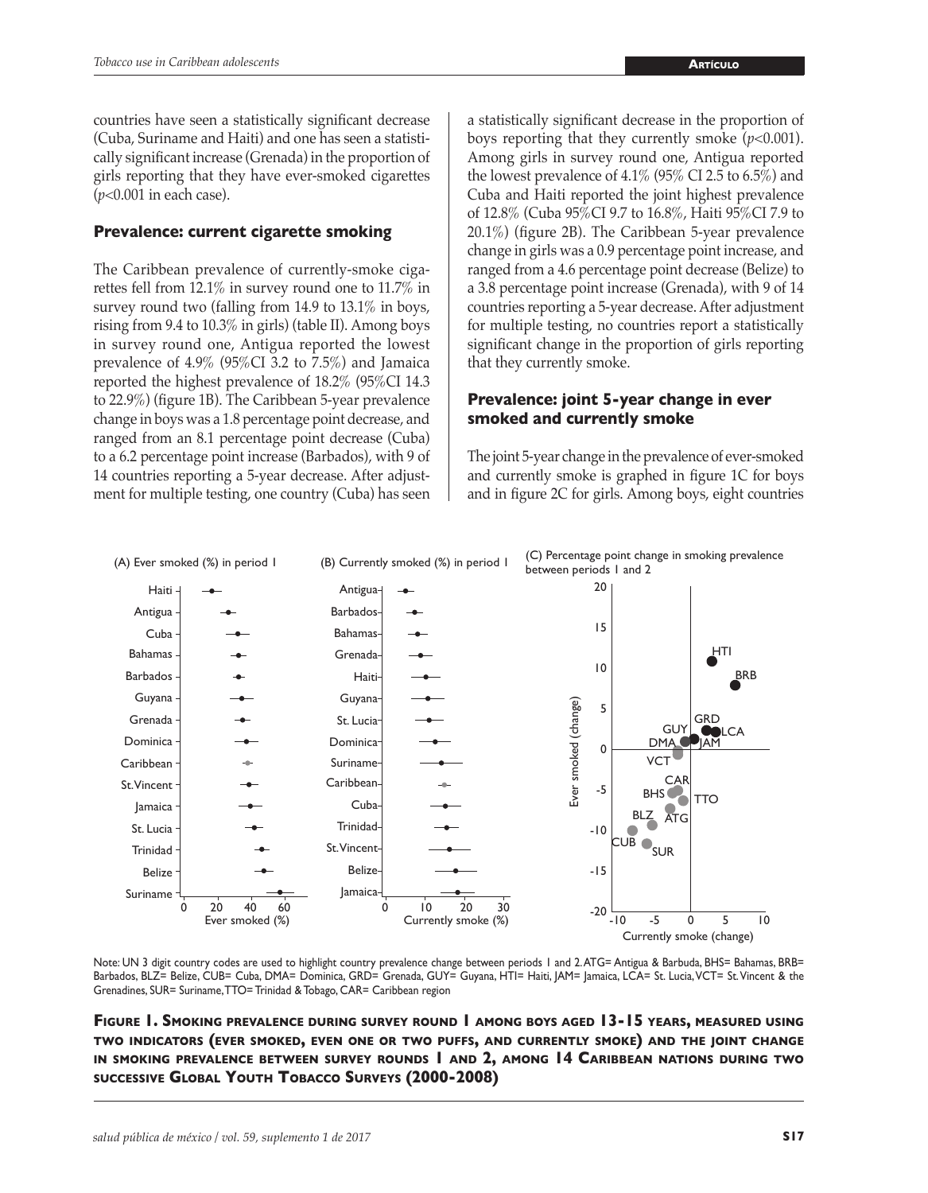countries have seen a statistically significant decrease (Cuba, Suriname and Haiti) and one has seen a statistically significant increase (Grenada) in the proportion of girls reporting that they have ever-smoked cigarettes (*p*<0.001 in each case).

#### **Prevalence: current cigarette smoking**

The Caribbean prevalence of currently-smoke cigarettes fell from 12.1% in survey round one to 11.7% in survey round two (falling from 14.9 to 13.1% in boys, rising from 9.4 to 10.3% in girls) (table II). Among boys in survey round one, Antigua reported the lowest prevalence of 4.9% (95%CI 3.2 to 7.5%) and Jamaica reported the highest prevalence of 18.2% (95%CI 14.3 to 22.9%) (figure 1B). The Caribbean 5-year prevalence change in boys was a 1.8 percentage point decrease, and ranged from an 8.1 percentage point decrease (Cuba) to a 6.2 percentage point increase (Barbados), with 9 of 14 countries reporting a 5-year decrease. After adjustment for multiple testing, one country (Cuba) has seen a statistically significant decrease in the proportion of boys reporting that they currently smoke  $(p<0.001)$ . Among girls in survey round one, Antigua reported the lowest prevalence of 4.1% (95% CI 2.5 to 6.5%) and Cuba and Haiti reported the joint highest prevalence of 12.8% (Cuba 95%CI 9.7 to 16.8%, Haiti 95%CI 7.9 to 20.1%) (figure 2B). The Caribbean 5-year prevalence change in girls was a 0.9 percentage point increase, and ranged from a 4.6 percentage point decrease (Belize) to a 3.8 percentage point increase (Grenada), with 9 of 14 countries reporting a 5-year decrease. After adjustment for multiple testing, no countries report a statistically significant change in the proportion of girls reporting that they currently smoke.

#### **Prevalence: joint 5-year change in ever smoked and currently smoke**

The joint 5-year change in the prevalence of ever-smoked and currently smoke is graphed in figure 1C for boys and in figure 2C for girls. Among boys, eight countries



Note: UN 3 digit country codes are used to highlight country prevalence change between periods 1 and 2. ATG= Antigua & Barbuda, BHS= Bahamas, BRB= Barbados, BLZ= Belize, CUB= Cuba, DMA= Dominica, GRD= Grenada, GUY= Guyana, HTI= Haiti, JAM= Jamaica, LCA= St. Lucia, VCT= St. Vincent & the Grenadines, SUR= Suriname, TTO= Trinidad & Tobago, CAR= Caribbean region

**Figure 1. Smoking prevalence during survey round 1 among boys aged 13-15 years, measured using two indicators (ever smoked, even one or two puffs, and currently smoke) and the joint change in smoking prevalence between survey rounds 1 and 2, among 14 Caribbean nations during two successive Global Youth Tobacco Surveys (2000-2008)**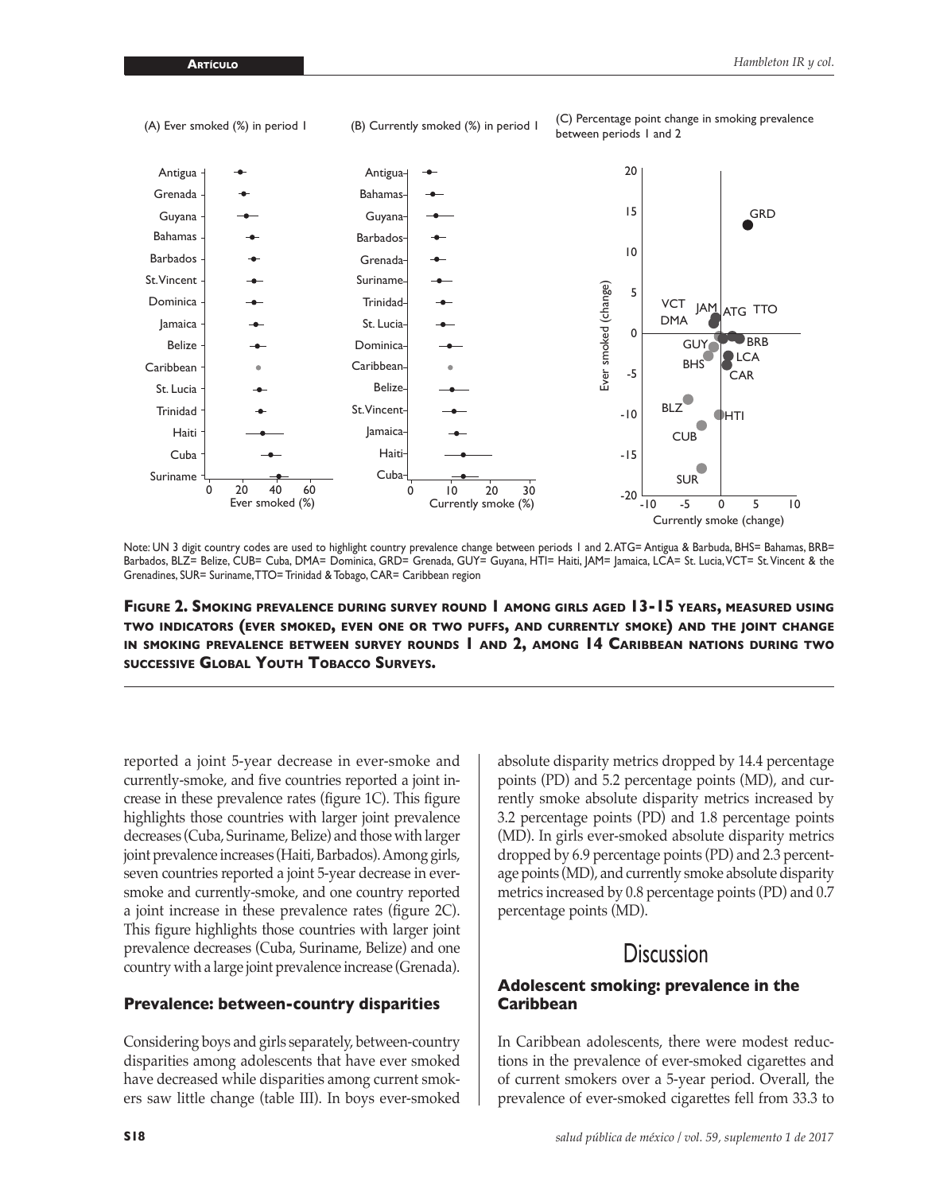

Note: UN 3 digit country codes are used to highlight country prevalence change between periods 1 and 2. ATG= Antigua & Barbuda, BHS= Bahamas, BRB= Barbados, BLZ= Belize, CUB= Cuba, DMA= Dominica, GRD= Grenada, GUY= Guyana, HTI= Haiti, JAM= |amaica, LCA= St. Lucia, VCT= St. Vincent & the Grenadines, SUR= Suriname, TTO= Trinidad & Tobago, CAR= Caribbean region

**Figure 2. Smoking prevalence during survey round 1 among girls aged 13-15 years, measured using two indicators (ever smoked, even one or two puffs, and currently smoke) and the joint change in smoking prevalence between survey rounds 1 and 2, among 14 Caribbean nations during two successive Global Youth Tobacco Surveys.**

reported a joint 5-year decrease in ever-smoke and currently-smoke, and five countries reported a joint increase in these prevalence rates (figure 1C). This figure highlights those countries with larger joint prevalence decreases (Cuba, Suriname, Belize) and those with larger joint prevalence increases (Haiti, Barbados). Among girls, seven countries reported a joint 5-year decrease in eversmoke and currently-smoke, and one country reported a joint increase in these prevalence rates (figure 2C). This figure highlights those countries with larger joint prevalence decreases (Cuba, Suriname, Belize) and one country with a large joint prevalence increase (Grenada).

#### **Prevalence: between-country disparities**

Considering boys and girls separately, between-country disparities among adolescents that have ever smoked have decreased while disparities among current smokers saw little change (table III). In boys ever-smoked

absolute disparity metrics dropped by 14.4 percentage points (PD) and 5.2 percentage points (MD), and currently smoke absolute disparity metrics increased by 3.2 percentage points (PD) and 1.8 percentage points (MD). In girls ever-smoked absolute disparity metrics dropped by 6.9 percentage points (PD) and 2.3 percentage points (MD), and currently smoke absolute disparity metrics increased by 0.8 percentage points (PD) and 0.7 percentage points (MD).

# **Discussion**

#### **Adolescent smoking: prevalence in the Caribbean**

In Caribbean adolescents, there were modest reductions in the prevalence of ever-smoked cigarettes and of current smokers over a 5-year period. Overall, the prevalence of ever-smoked cigarettes fell from 33.3 to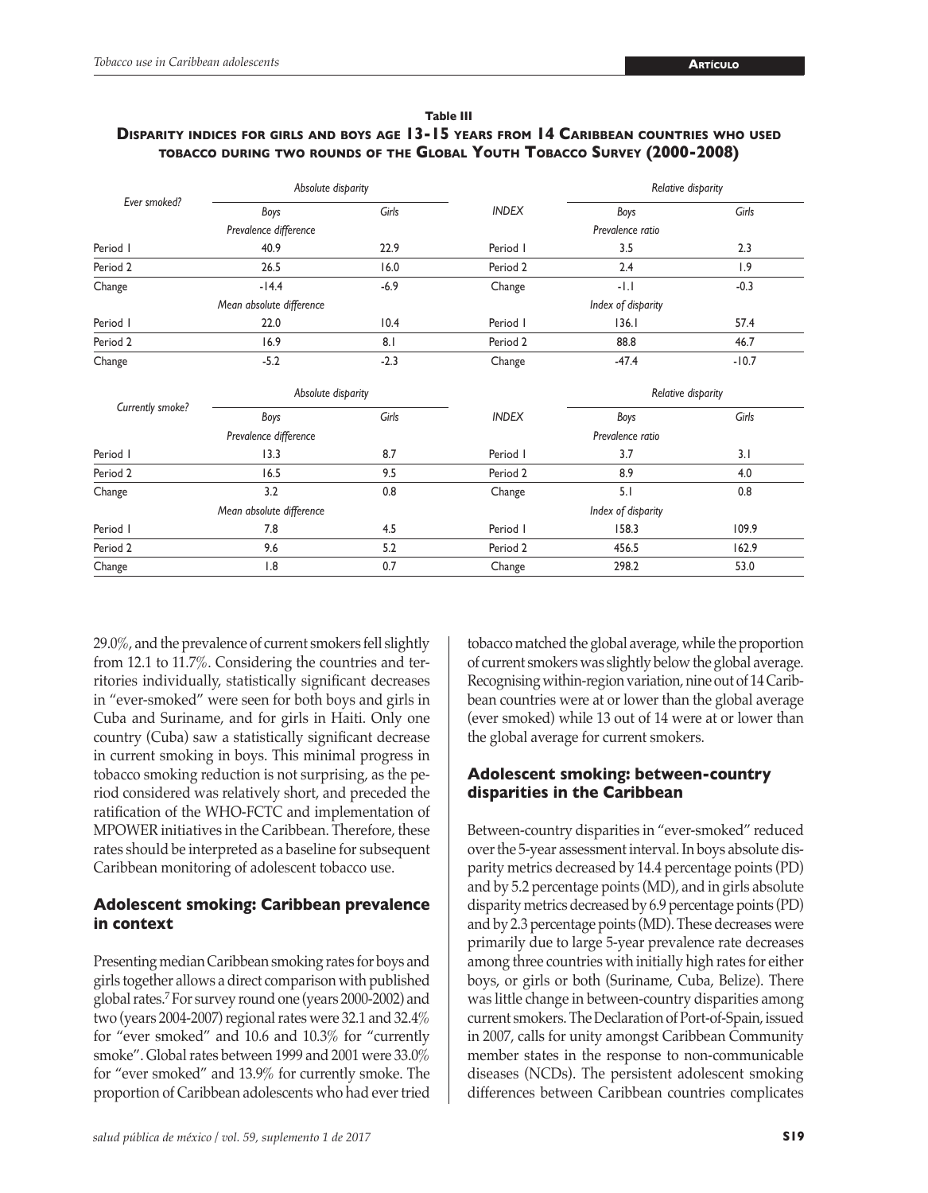| Table III                                                                                        |  |  |  |  |  |
|--------------------------------------------------------------------------------------------------|--|--|--|--|--|
| <b>DISPARITY INDICES FOR GIRLS AND BOYS AGE 13-15 YEARS FROM 14 CARIBBEAN COUNTRIES WHO USED</b> |  |  |  |  |  |
| TOBACCO DURING TWO ROUNDS OF THE GLOBAL YOUTH TOBACCO SURVEY (2000-2008)                         |  |  |  |  |  |

| Ever smoked?     | Absolute disparity       |        |                  | Relative disparity |         |  |
|------------------|--------------------------|--------|------------------|--------------------|---------|--|
|                  | Boys                     | Girls  | <b>INDEX</b>     | Boys               | Girls   |  |
|                  | Prevalence difference    |        |                  | Prevalence ratio   |         |  |
| Period I         | 40.9                     | 22.9   | Period I         | 3.5                | 2.3     |  |
| Period 2         | 26.5                     | 16.0   | Period 2         | 2.4                | 1.9     |  |
| Change           | $-14.4$                  | $-6.9$ | Change           | $-1.1$             | $-0.3$  |  |
|                  | Mean absolute difference |        |                  | Index of disparity |         |  |
| Period I         | 22.0                     | 10.4   | Period I         | 136.1              | 57.4    |  |
| Period 2         | 16.9                     | 8.1    | Period 2         | 88.8               | 46.7    |  |
| Change           | $-5.2$                   | $-2.3$ | Change           | $-47.4$            | $-10.7$ |  |
| Currently smoke? | Absolute disparity       |        |                  | Relative disparity |         |  |
|                  | Boys                     | Girls  | <b>INDEX</b>     | Boys               | Girls   |  |
|                  | Prevalence difference    |        | Prevalence ratio |                    |         |  |
| Period I         | 13.3                     | 8.7    | Period I         | 3.7                | 3.1     |  |
| Period 2         | 16.5                     | 9.5    | Period 2         | 8.9                | 4.0     |  |
| Change           | 3.2                      | 0.8    | Change           | 5.1                | 0.8     |  |
|                  | Mean absolute difference |        |                  | Index of disparity |         |  |
| Period I         | 7.8                      | 4.5    | Period I         | 158.3              | 109.9   |  |
| Period 2         | 9.6                      | 5.2    | Period 2         | 456.5              | 162.9   |  |
| Change           | 1.8                      | 0.7    | Change           | 298.2              | 53.0    |  |

29.0%, and the prevalence of current smokers fell slightly from 12.1 to 11.7%. Considering the countries and territories individually, statistically significant decreases in "ever-smoked" were seen for both boys and girls in Cuba and Suriname, and for girls in Haiti. Only one country (Cuba) saw a statistically significant decrease in current smoking in boys. This minimal progress in tobacco smoking reduction is not surprising, as the period considered was relatively short, and preceded the ratification of the WHO-FCTC and implementation of MPOWER initiatives in the Caribbean. Therefore, these rates should be interpreted as a baseline for subsequent Caribbean monitoring of adolescent tobacco use.

## **Adolescent smoking: Caribbean prevalence in context**

Presenting median Caribbean smoking rates for boys and girls together allows a direct comparison with published global rates.7 For survey round one (years 2000-2002) and two (years 2004-2007) regional rates were 32.1 and 32.4% for "ever smoked" and 10.6 and 10.3% for "currently smoke". Global rates between 1999 and 2001 were 33.0% for "ever smoked" and 13.9% for currently smoke. The proportion of Caribbean adolescents who had ever tried

tobacco matched the global average, while the proportion of current smokers was slightly below the global average. Recognising within-region variation, nine out of 14 Caribbean countries were at or lower than the global average (ever smoked) while 13 out of 14 were at or lower than the global average for current smokers.

## **Adolescent smoking: between-country disparities in the Caribbean**

Between-country disparities in "ever-smoked" reduced over the 5-year assessment interval. In boys absolute disparity metrics decreased by 14.4 percentage points (PD) and by 5.2 percentage points (MD), and in girls absolute disparity metrics decreased by 6.9 percentage points (PD) and by 2.3 percentage points (MD). These decreases were primarily due to large 5-year prevalence rate decreases among three countries with initially high rates for either boys, or girls or both (Suriname, Cuba, Belize). There was little change in between-country disparities among current smokers. The Declaration of Port-of-Spain, issued in 2007, calls for unity amongst Caribbean Community member states in the response to non-communicable diseases (NCDs). The persistent adolescent smoking differences between Caribbean countries complicates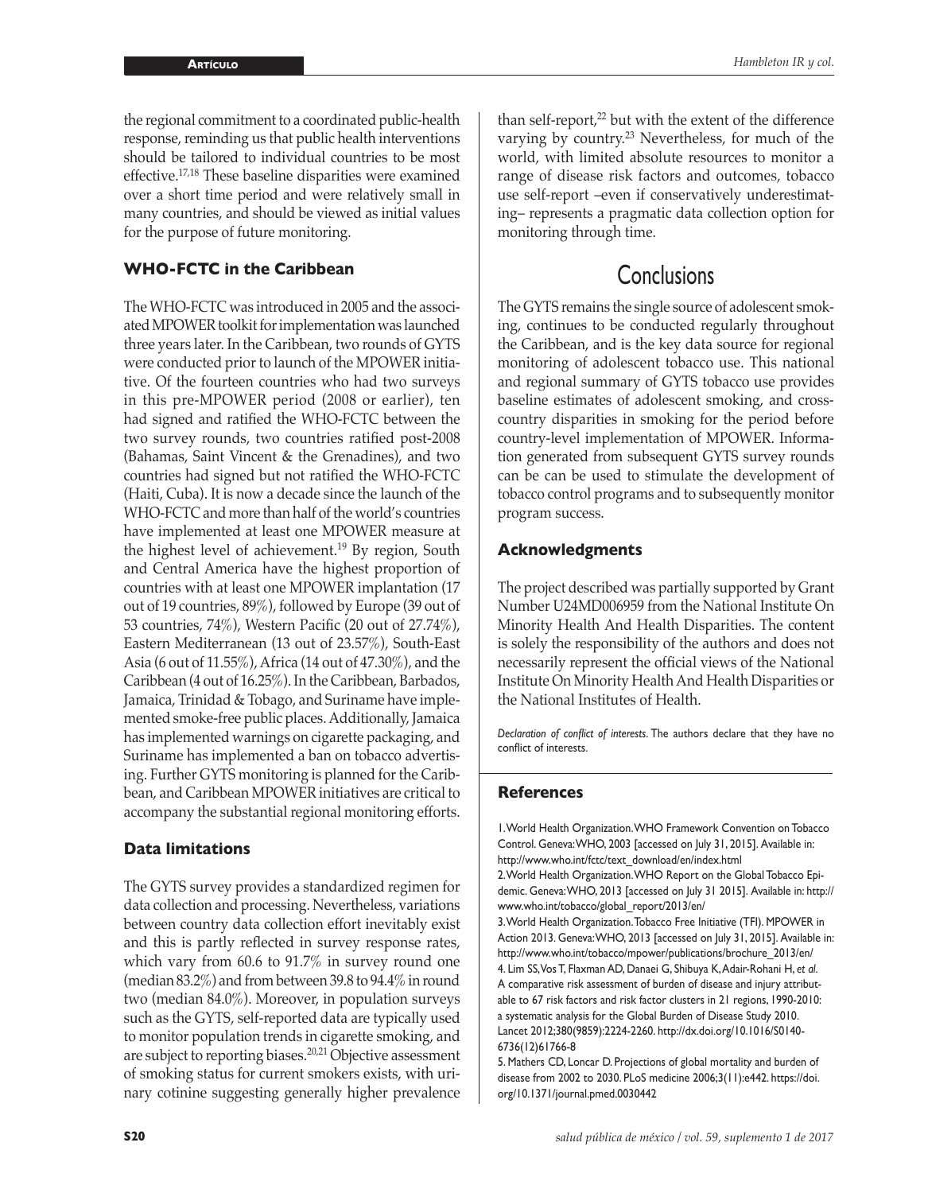the regional commitment to a coordinated public-health response, reminding us that public health interventions should be tailored to individual countries to be most effective.17,18 These baseline disparities were examined over a short time period and were relatively small in many countries, and should be viewed as initial values for the purpose of future monitoring.

## **WHO-FCTC in the Caribbean**

The WHO-FCTC was introduced in 2005 and the associated MPOWER toolkit for implementation was launched three years later. In the Caribbean, two rounds of GYTS were conducted prior to launch of the MPOWER initiative. Of the fourteen countries who had two surveys in this pre-MPOWER period (2008 or earlier), ten had signed and ratified the WHO-FCTC between the two survey rounds, two countries ratified post-2008 (Bahamas, Saint Vincent & the Grenadines), and two countries had signed but not ratified the WHO-FCTC (Haiti, Cuba). It is now a decade since the launch of the WHO-FCTC and more than half of the world's countries have implemented at least one MPOWER measure at the highest level of achievement.<sup>19</sup> By region, South and Central America have the highest proportion of countries with at least one MPOWER implantation (17 out of 19 countries, 89%), followed by Europe (39 out of 53 countries, 74%), Western Pacific (20 out of 27.74%), Eastern Mediterranean (13 out of 23.57%), South-East Asia (6 out of 11.55%), Africa (14 out of 47.30%), and the Caribbean (4 out of 16.25%). In the Caribbean, Barbados, Jamaica, Trinidad & Tobago, and Suriname have implemented smoke-free public places. Additionally, Jamaica has implemented warnings on cigarette packaging, and Suriname has implemented a ban on tobacco advertising. Further GYTS monitoring is planned for the Caribbean, and Caribbean MPOWER initiatives are critical to accompany the substantial regional monitoring efforts.

#### **Data limitations**

The GYTS survey provides a standardized regimen for data collection and processing. Nevertheless, variations between country data collection effort inevitably exist and this is partly reflected in survey response rates, which vary from 60.6 to 91.7% in survey round one (median 83.2%) and from between 39.8 to 94.4% in round two (median 84.0%). Moreover, in population surveys such as the GYTS, self-reported data are typically used to monitor population trends in cigarette smoking, and are subject to reporting biases.20,21 Objective assessment of smoking status for current smokers exists, with urinary cotinine suggesting generally higher prevalence

than self-report,<sup>22</sup> but with the extent of the difference varying by country.23 Nevertheless, for much of the world, with limited absolute resources to monitor a range of disease risk factors and outcomes, tobacco use self-report –even if conservatively underestimating– represents a pragmatic data collection option for monitoring through time.

# **Conclusions**

The GYTS remains the single source of adolescent smoking, continues to be conducted regularly throughout the Caribbean, and is the key data source for regional monitoring of adolescent tobacco use. This national and regional summary of GYTS tobacco use provides baseline estimates of adolescent smoking, and crosscountry disparities in smoking for the period before country-level implementation of MPOWER. Information generated from subsequent GYTS survey rounds can be can be used to stimulate the development of tobacco control programs and to subsequently monitor program success.

#### **Acknowledgments**

The project described was partially supported by Grant Number U24MD006959 from the National Institute On Minority Health And Health Disparities. The content is solely the responsibility of the authors and does not necessarily represent the official views of the National Institute On Minority Health And Health Disparities or the National Institutes of Health.

*Declaration of conflict of interests*. The authors declare that they have no conflict of interests.

#### **References**

1. World Health Organization. WHO Framework Convention on Tobacco Control. Geneva: WHO, 2003 [accessed on July 31, 2015]. Available in: [http://www.who.int/fctc/text\\_download/en/index.html](http://www.who.int/fctc/text_download/en/index.html)

2. World Health Organization. WHO Report on the Global Tobacco Epidemic. Geneva: WHO, 2013 [accessed on July 31 2015]. Available in: [http://](http://www.who.int/tobacco/global_report/2013/en/) [www.who.int/tobacco/global\\_report/2013/en/](http://www.who.int/tobacco/global_report/2013/en/)

3. World Health Organization. Tobacco Free Initiative (TFI). MPOWER in Action 2013. Geneva: WHO, 2013 [accessed on July 31, 2015]. Available in: [http://www.who.int/tobacco/mpower/publications/brochure\\_2013/en/](http://www.who.int/tobacco/mpower/publications/brochure_2013/en/) 4. Lim SS, Vos T, Flaxman AD, Danaei G, Shibuya K, Adair-Rohani H, *et al*.

A comparative risk assessment of burden of disease and injury attributable to 67 risk factors and risk factor clusters in 21 regions, 1990-2010: a systematic analysis for the Global Burden of Disease Study 2010. Lancet 2012;380(9859):2224-2260. [http://dx.doi.org/10.1016/S0140-](http://dx.doi.org/10.1016/S0140-6736(12)61766-8) [6736\(12\)61766-8](http://dx.doi.org/10.1016/S0140-6736(12)61766-8)

5. Mathers CD, Loncar D. Projections of global mortality and burden of disease from 2002 to 2030. PLoS medicine 2006;3(11):e442. [https://doi.](https://doi.org/10.1371/journal.pmed.0030442) [org/10.1371/journal.pmed.0030442](https://doi.org/10.1371/journal.pmed.0030442)